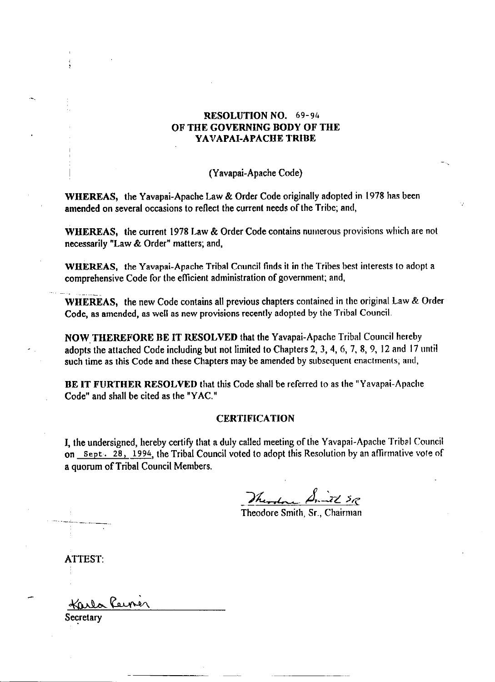## RESOLUTION NO. 69-94 OF THE GOVERNING BODY OF TIIE YAVAPAI-APACHE TRIBE

! (Yavapai-Apache Code)

WHEREAS, the Yavapai-Apache Law & Order Code originally adopted in I978 has been amended on several occasions to reflect the current needs of the Tribe; and,

WHEREAS, the current 1978 Law & Order Code contains numerous provisions which are not necessarily "Law & Order" matters; and,

WHEREAS, the Yavapai-Apache Tribal Council finds it in the Tribes best interests to adopt a comprehensive Code for the efficient administration of government; and,

WHEREAS, the new Code contains all previous chapters contained in the original Law & Order Code, as amended, as well as new provisions recently adopted by the Tribal Council.

NOW,TIIEREFORE BE IT RESOLVED that the Yavapai-Apache Tribal Council hereby adopts the attached Code including but not limited to Chapters 2, 3, 4, 6, 7, 8, 9, I2 and I7 until such time as this Code and these Chapters may be amended by subsequent enactments; and,

BE IT FURTHER RESOLVED that this Code shall be referred to as the "Yavapai-Apache Code" and shall be cited as the "YAC."

### **CERTIFICATION**

I, the undersigned, hereby certify that a duly called meeting of the Yavapai-Apache Tribal Council on Sept. 28, 1994, the Tribal Council voted to adopt this Resolution by an affirmative vote of a quorum of Tribal Council Members.

Therefore Annual SR

Theodore Smith, Sr., Chairma

ATTEST:

Karla Rein

Secretary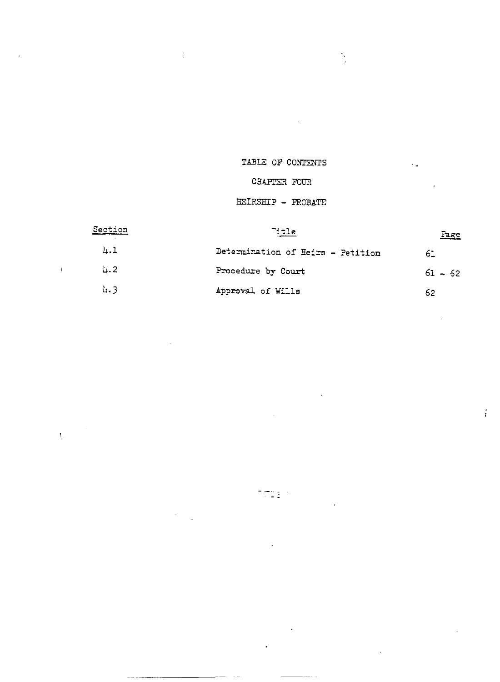# TABLE OF CONTENTS

 $\sim$   $\lambda$ 

 $\frac{1}{2}$ 

 $\epsilon$   $\pm$ 

 $\frac{1}{4}$ 

 $\frac{1}{\sqrt{2}}$ 

 $\sim$ 

 $\sim$   $\sim$   $\sim$ 

 $\bar{J}$ 

 $\label{eq:2} \frac{1}{\left|\mathbf{r}\right|}\left|\frac{1}{\left|\mathbf{r}\right|}\right|^{2}}\leq \frac{1}{\left|\mathbf{r}\right|^{2}}.$ 

# CHAPTER FOUR

## HEIRSHIP - PROBATE

| Section   | $\tilde{ }$ , the                 | <u>Page</u> |
|-----------|-----------------------------------|-------------|
| 4.1       | Determination of Heirs - Petition | 61          |
| $\mu$ . 2 | Procedure by Court                | $61 - 62$   |
| 4.3       | Approval of Wills                 | 62          |

 $\tau_{\overline{G11}}$  .

 $\mathbb{Z}^2$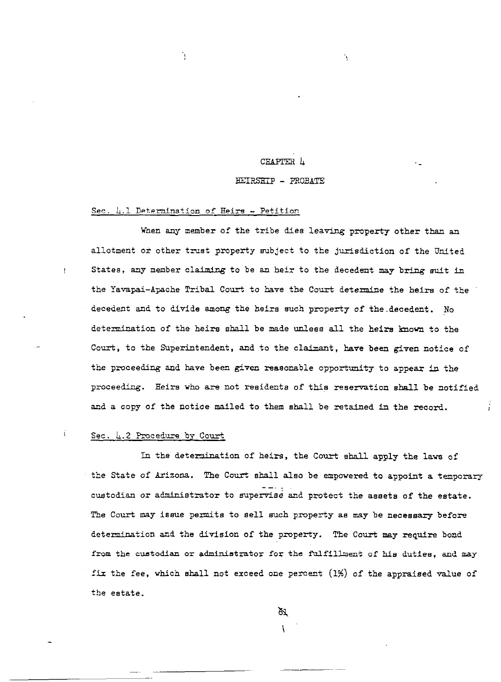### CHAPITR 4

### HEIRSHIP - PROBATE

### <span id="page-2-0"></span>Sec. 4.1 Determination of Heirs - Petition

Ŋ

When any member of the tribe die8 leaving property other than an allotment or other trust property subject to the jurisdiction of the United Statea, any member claiming to be an heir to the decedent may bring suit in the Yavapai-Apache Tribal Court to have the Court determine the heirs of the decedent and to divide among the heirs such property of the-decedent. No determination of the heirs shall be made unlees all the heirs lmown to the Court, to the Superintendent, and to the claimant, have been given notice of the proceeding and have been given reasonable opportunity to appear in the proceeding. Heirs who are not residents of this reservation shall be notified and a copy of the notice mailed to them shall be retained in the record.

#### ť Sec. &.2 Procedure by Court

<span id="page-2-1"></span>I

In the determination of heirs, the Court shall apply the laws of the State of Arizona. The Court sball also be empowered to appoint a temporary  $-$  7  $\pm$ custodian or administrator to supervise and protect the assets of the estate The Court may issue permits to sell such property as may be necessary before determination and the division of the property. The Court may require bond from the custodian or adminietrator for the fulfillment of his dutiee, and may fiz the fee, vhich shall not exceed one percent (1%) of the appraised value of the estate.

> <u>እ</u> \